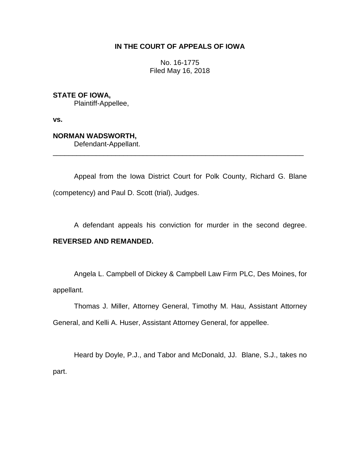# **IN THE COURT OF APPEALS OF IOWA**

No. 16-1775 Filed May 16, 2018

**STATE OF IOWA,**

Plaintiff-Appellee,

**vs.**

# **NORMAN WADSWORTH,**

Defendant-Appellant.

Appeal from the Iowa District Court for Polk County, Richard G. Blane (competency) and Paul D. Scott (trial), Judges.

\_\_\_\_\_\_\_\_\_\_\_\_\_\_\_\_\_\_\_\_\_\_\_\_\_\_\_\_\_\_\_\_\_\_\_\_\_\_\_\_\_\_\_\_\_\_\_\_\_\_\_\_\_\_\_\_\_\_\_\_\_\_\_\_

A defendant appeals his conviction for murder in the second degree.

# **REVERSED AND REMANDED.**

Angela L. Campbell of Dickey & Campbell Law Firm PLC, Des Moines, for appellant.

Thomas J. Miller, Attorney General, Timothy M. Hau, Assistant Attorney General, and Kelli A. Huser, Assistant Attorney General, for appellee.

Heard by Doyle, P.J., and Tabor and McDonald, JJ. Blane, S.J., takes no part.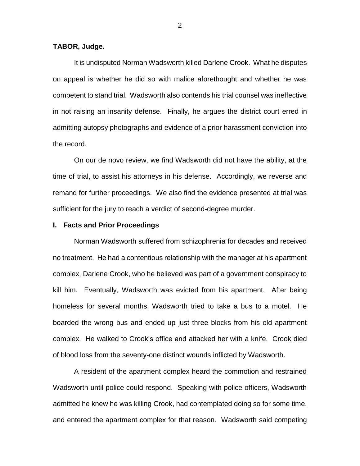#### **TABOR, Judge.**

It is undisputed Norman Wadsworth killed Darlene Crook. What he disputes on appeal is whether he did so with malice aforethought and whether he was competent to stand trial. Wadsworth also contends his trial counsel was ineffective in not raising an insanity defense. Finally, he argues the district court erred in admitting autopsy photographs and evidence of a prior harassment conviction into the record.

On our de novo review, we find Wadsworth did not have the ability, at the time of trial, to assist his attorneys in his defense. Accordingly, we reverse and remand for further proceedings. We also find the evidence presented at trial was sufficient for the jury to reach a verdict of second-degree murder.

#### **I. Facts and Prior Proceedings**

Norman Wadsworth suffered from schizophrenia for decades and received no treatment. He had a contentious relationship with the manager at his apartment complex, Darlene Crook, who he believed was part of a government conspiracy to kill him. Eventually, Wadsworth was evicted from his apartment. After being homeless for several months, Wadsworth tried to take a bus to a motel. He boarded the wrong bus and ended up just three blocks from his old apartment complex. He walked to Crook's office and attacked her with a knife. Crook died of blood loss from the seventy-one distinct wounds inflicted by Wadsworth.

A resident of the apartment complex heard the commotion and restrained Wadsworth until police could respond. Speaking with police officers, Wadsworth admitted he knew he was killing Crook, had contemplated doing so for some time, and entered the apartment complex for that reason. Wadsworth said competing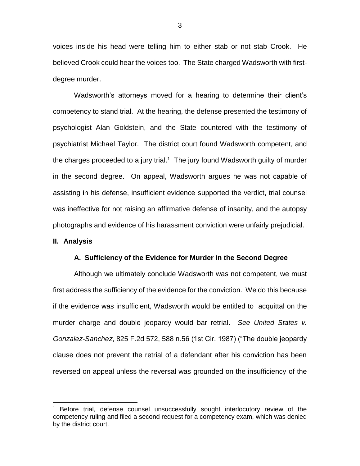voices inside his head were telling him to either stab or not stab Crook. He believed Crook could hear the voices too. The State charged Wadsworth with firstdegree murder.

Wadsworth's attorneys moved for a hearing to determine their client's competency to stand trial. At the hearing, the defense presented the testimony of psychologist Alan Goldstein, and the State countered with the testimony of psychiatrist Michael Taylor. The district court found Wadsworth competent, and the charges proceeded to a jury trial.<sup>1</sup> The jury found Wadsworth guilty of murder in the second degree. On appeal, Wadsworth argues he was not capable of assisting in his defense, insufficient evidence supported the verdict, trial counsel was ineffective for not raising an affirmative defense of insanity, and the autopsy photographs and evidence of his harassment conviction were unfairly prejudicial.

#### **II. Analysis**

 $\overline{a}$ 

#### **A. Sufficiency of the Evidence for Murder in the Second Degree**

Although we ultimately conclude Wadsworth was not competent, we must first address the sufficiency of the evidence for the conviction. We do this because if the evidence was insufficient, Wadsworth would be entitled to acquittal on the murder charge and double jeopardy would bar retrial. *See United States v. Gonzalez-Sanchez*, 825 F.2d 572, 588 n.56 (1st Cir. 1987) ("The double jeopardy clause does not prevent the retrial of a defendant after his conviction has been reversed on appeal unless the reversal was grounded on the insufficiency of the

<sup>1</sup> Before trial, defense counsel unsuccessfully sought interlocutory review of the competency ruling and filed a second request for a competency exam, which was denied by the district court.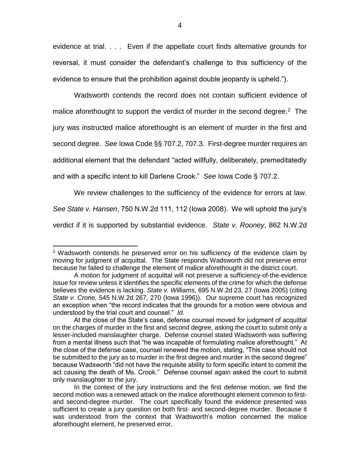evidence at trial. . . . Even if the appellate court finds alternative grounds for reversal, it must consider the defendant's challenge to this sufficiency of the evidence to ensure that the prohibition against double jeopardy is upheld.").

Wadsworth contends the record does not contain sufficient evidence of malice aforethought to support the verdict of murder in the second degree.<sup>2</sup> The jury was instructed malice aforethought is an element of murder in the first and second degree. *See* Iowa Code §§ 707.2, 707.3. First-degree murder requires an additional element that the defendant "acted willfully, deliberately, premeditatedly and with a specific intent to kill Darlene Crook." *See* Iowa Code § 707.2.

We review challenges to the sufficiency of the evidence for errors at law. *See State v. Hansen*, 750 N.W.2d 111, 112 (Iowa 2008). We will uphold the jury's verdict if it is supported by substantial evidence. *State v. Rooney*, 862 N.W.2d

<sup>&</sup>lt;sup>2</sup> Wadsworth contends he preserved error on his sufficiency of the evidence claim by moving for judgment of acquittal. The State responds Wadsworth did not preserve error because he failed to challenge the element of malice aforethought in the district court.

A motion for judgment of acquittal will not preserve a sufficiency-of-the-evidence issue for review unless it identifies the specific elements of the crime for which the defense believes the evidence is lacking. *State v. Williams*, 695 N.W.2d 23, 27 (Iowa 2005) (citing *State v. Crone*, 545 N.W.2d 267, 270 (Iowa 1996)). Our supreme court has recognized an exception when "the record indicates that the grounds for a motion were obvious and understood by the trial court and counsel." *Id.*

At the close of the State's case, defense counsel moved for judgment of acquittal on the charges of murder in the first and second degree, asking the court to submit only a lesser-included manslaughter charge. Defense counsel stated Wadsworth was suffering from a mental illness such that "he was incapable of formulating malice aforethought." At the close of the defense case, counsel renewed the motion, stating, "This case should not be submitted to the jury as to murder in the first degree and murder in the second degree" because Wadsworth "did not have the requisite ability to form specific intent to commit the act causing the death of Ms. Crook." Defense counsel again asked the court to submit only manslaughter to the jury.

In the context of the jury instructions and the first defense motion, we find the second motion was a renewed attack on the malice aforethought element common to firstand second-degree murder. The court specifically found the evidence presented was sufficient to create a jury question on both first- and second-degree murder. Because it was understood from the context that Wadsworth's motion concerned the malice aforethought element, he preserved error.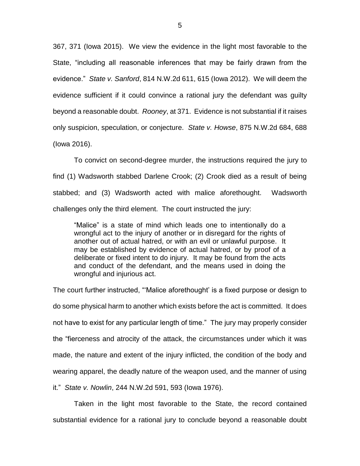367, 371 (Iowa 2015). We view the evidence in the light most favorable to the State, "including all reasonable inferences that may be fairly drawn from the evidence." *State v. Sanford*, 814 N.W.2d 611, 615 (Iowa 2012). We will deem the evidence sufficient if it could convince a rational jury the defendant was guilty beyond a reasonable doubt. *Rooney*, at 371. Evidence is not substantial if it raises only suspicion, speculation, or conjecture. *State v. Howse*, 875 N.W.2d 684, 688 (Iowa 2016).

To convict on second-degree murder, the instructions required the jury to find (1) Wadsworth stabbed Darlene Crook; (2) Crook died as a result of being stabbed; and (3) Wadsworth acted with malice aforethought. Wadsworth challenges only the third element. The court instructed the jury:

"Malice" is a state of mind which leads one to intentionally do a wrongful act to the injury of another or in disregard for the rights of another out of actual hatred, or with an evil or unlawful purpose. It may be established by evidence of actual hatred, or by proof of a deliberate or fixed intent to do injury. It may be found from the acts and conduct of the defendant, and the means used in doing the wrongful and injurious act.

The court further instructed, "'Malice aforethought' is a fixed purpose or design to do some physical harm to another which exists before the act is committed. It does not have to exist for any particular length of time." The jury may properly consider the "fierceness and atrocity of the attack, the circumstances under which it was made, the nature and extent of the injury inflicted, the condition of the body and wearing apparel, the deadly nature of the weapon used, and the manner of using it." *State v. Nowlin*, 244 N.W.2d 591, 593 (Iowa 1976).

Taken in the light most favorable to the State, the record contained substantial evidence for a rational jury to conclude beyond a reasonable doubt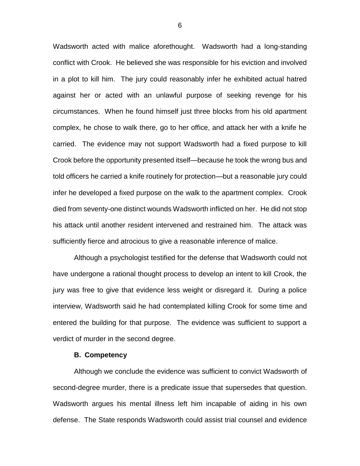Wadsworth acted with malice aforethought. Wadsworth had a long-standing conflict with Crook. He believed she was responsible for his eviction and involved in a plot to kill him. The jury could reasonably infer he exhibited actual hatred against her or acted with an unlawful purpose of seeking revenge for his circumstances. When he found himself just three blocks from his old apartment complex, he chose to walk there, go to her office, and attack her with a knife he carried. The evidence may not support Wadsworth had a fixed purpose to kill Crook before the opportunity presented itself—because he took the wrong bus and told officers he carried a knife routinely for protection—but a reasonable jury could infer he developed a fixed purpose on the walk to the apartment complex. Crook died from seventy-one distinct wounds Wadsworth inflicted on her. He did not stop his attack until another resident intervened and restrained him. The attack was sufficiently fierce and atrocious to give a reasonable inference of malice.

Although a psychologist testified for the defense that Wadsworth could not have undergone a rational thought process to develop an intent to kill Crook, the jury was free to give that evidence less weight or disregard it. During a police interview, Wadsworth said he had contemplated killing Crook for some time and entered the building for that purpose. The evidence was sufficient to support a verdict of murder in the second degree.

#### **B. Competency**

Although we conclude the evidence was sufficient to convict Wadsworth of second-degree murder, there is a predicate issue that supersedes that question. Wadsworth argues his mental illness left him incapable of aiding in his own defense. The State responds Wadsworth could assist trial counsel and evidence

6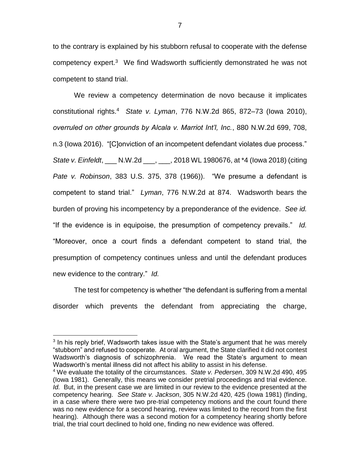to the contrary is explained by his stubborn refusal to cooperate with the defense competency expert.<sup>3</sup> We find Wadsworth sufficiently demonstrated he was not competent to stand trial.

We review a competency determination de novo because it implicates constitutional rights.<sup>4</sup> *State v. Lyman*, 776 N.W.2d 865, 872–73 (Iowa 2010), *overruled on other grounds by Alcala v. Marriot Int'l, Inc.*, 880 N.W.2d 699, 708, n.3 (Iowa 2016). "[C]onviction of an incompetent defendant violates due process." *State v. Einfeldt*, \_\_\_ N.W.2d \_\_\_, \_\_\_, 2018 WL 1980676, at \*4 (Iowa 2018) (citing *Pate v. Robinson*, 383 U.S. 375, 378 (1966)). "We presume a defendant is competent to stand trial." *Lyman*, 776 N.W.2d at 874. Wadsworth bears the burden of proving his incompetency by a preponderance of the evidence. *See id.* "If the evidence is in equipoise, the presumption of competency prevails." *Id.* "Moreover, once a court finds a defendant competent to stand trial, the presumption of competency continues unless and until the defendant produces new evidence to the contrary." *Id.*

The test for competency is whether "the defendant is suffering from a mental disorder which prevents the defendant from appreciating the charge,

 $3$  In his reply brief, Wadsworth takes issue with the State's argument that he was merely "stubborn" and refused to cooperate. At oral argument, the State clarified it did not contest Wadsworth's diagnosis of schizophrenia. We read the State's argument to mean Wadsworth's mental illness did not affect his ability to assist in his defense. <sup>4</sup> We evaluate the totality of the circumstances. *State v. Pedersen*, 309 N.W.2d 490, 495

<sup>(</sup>Iowa 1981). Generally, this means we consider pretrial proceedings and trial evidence. *Id.* But, in the present case we are limited in our review to the evidence presented at the competency hearing. *See State v. Jackson*, 305 N.W.2d 420, 425 (Iowa 1981) (finding, in a case where there were two pre-trial competency motions and the court found there was no new evidence for a second hearing, review was limited to the record from the first hearing). Although there was a second motion for a competency hearing shortly before trial, the trial court declined to hold one, finding no new evidence was offered.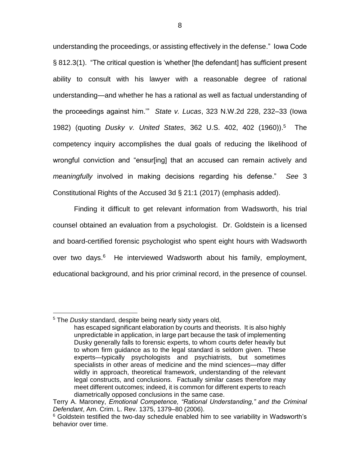understanding the proceedings, or assisting effectively in the defense." Iowa Code § 812.3(1). "The critical question is 'whether [the defendant] has sufficient present ability to consult with his lawyer with a reasonable degree of rational understanding—and whether he has a rational as well as factual understanding of the proceedings against him.'" *State v. Lucas*, 323 N.W.2d 228, 232–33 (Iowa 1982) (quoting *Dusky v. United States*, 362 U.S. 402, 402 (1960)). <sup>5</sup> The competency inquiry accomplishes the dual goals of reducing the likelihood of wrongful conviction and "ensur[ing] that an accused can remain actively and *meaningfully* involved in making decisions regarding his defense." *See* 3 Constitutional Rights of the Accused 3d § 21:1 (2017) (emphasis added).

Finding it difficult to get relevant information from Wadsworth, his trial counsel obtained an evaluation from a psychologist. Dr. Goldstein is a licensed and board-certified forensic psychologist who spent eight hours with Wadsworth over two days.<sup>6</sup> He interviewed Wadsworth about his family, employment, educational background, and his prior criminal record, in the presence of counsel.

 $\overline{a}$ <sup>5</sup> The *Dusky* standard, despite being nearly sixty years old,

has escaped significant elaboration by courts and theorists. It is also highly unpredictable in application, in large part because the task of implementing Dusky generally falls to forensic experts, to whom courts defer heavily but to whom firm guidance as to the legal standard is seldom given. These experts—typically psychologists and psychiatrists, but sometimes specialists in other areas of medicine and the mind sciences—may differ wildly in approach, theoretical framework, understanding of the relevant legal constructs, and conclusions. Factually similar cases therefore may meet different outcomes; indeed, it is common for different experts to reach diametrically opposed conclusions in the same case.

Terry A. Maroney, *Emotional Competence, "Rational Understanding," and the Criminal Defendant*, Am. Crim. L. Rev. 1375, 1379–80 (2006).

<sup>&</sup>lt;sup>6</sup> Goldstein testified the two-day schedule enabled him to see variability in Wadsworth's behavior over time.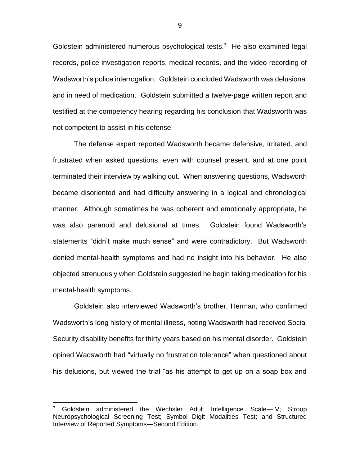Goldstein administered numerous psychological tests.<sup>7</sup> He also examined legal records, police investigation reports, medical records, and the video recording of Wadsworth's police interrogation. Goldstein concluded Wadsworth was delusional and in need of medication. Goldstein submitted a twelve-page written report and testified at the competency hearing regarding his conclusion that Wadsworth was not competent to assist in his defense.

The defense expert reported Wadsworth became defensive, irritated, and frustrated when asked questions, even with counsel present, and at one point terminated their interview by walking out. When answering questions, Wadsworth became disoriented and had difficulty answering in a logical and chronological manner. Although sometimes he was coherent and emotionally appropriate, he was also paranoid and delusional at times. Goldstein found Wadsworth's statements "didn't make much sense" and were contradictory. But Wadsworth denied mental-health symptoms and had no insight into his behavior. He also objected strenuously when Goldstein suggested he begin taking medication for his mental-health symptoms.

Goldstein also interviewed Wadsworth's brother, Herman, who confirmed Wadsworth's long history of mental illness, noting Wadsworth had received Social Security disability benefits for thirty years based on his mental disorder. Goldstein opined Wadsworth had "virtually no frustration tolerance" when questioned about his delusions, but viewed the trial "as his attempt to get up on a soap box and

<sup>7</sup> Goldstein administered the Wechsler Adult Intelligence Scale—IV; Stroop Neuropsychological Screening Test; Symbol Digit Modalities Test; and Structured Interview of Reported Symptoms—Second Edition.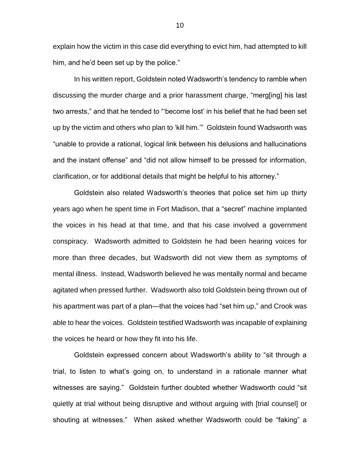explain how the victim in this case did everything to evict him, had attempted to kill him, and he'd been set up by the police."

In his written report, Goldstein noted Wadsworth's tendency to ramble when discussing the murder charge and a prior harassment charge, "merg[ing] his last two arrests," and that he tended to "'become lost' in his belief that he had been set up by the victim and others who plan to 'kill him.'" Goldstein found Wadsworth was "unable to provide a rational, logical link between his delusions and hallucinations and the instant offense" and "did not allow himself to be pressed for information, clarification, or for additional details that might be helpful to his attorney."

Goldstein also related Wadsworth's theories that police set him up thirty years ago when he spent time in Fort Madison, that a "secret" machine implanted the voices in his head at that time, and that his case involved a government conspiracy. Wadsworth admitted to Goldstein he had been hearing voices for more than three decades, but Wadsworth did not view them as symptoms of mental illness. Instead, Wadsworth believed he was mentally normal and became agitated when pressed further. Wadsworth also told Goldstein being thrown out of his apartment was part of a plan—that the voices had "set him up," and Crook was able to hear the voices. Goldstein testified Wadsworth was incapable of explaining the voices he heard or how they fit into his life.

Goldstein expressed concern about Wadsworth's ability to "sit through a trial, to listen to what's going on, to understand in a rationale manner what witnesses are saying." Goldstein further doubted whether Wadsworth could "sit quietly at trial without being disruptive and without arguing with [trial counsel] or shouting at witnesses." When asked whether Wadsworth could be "faking" a

10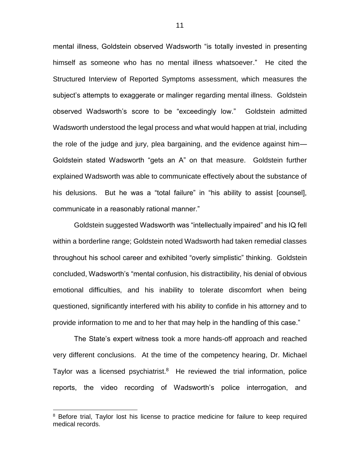mental illness, Goldstein observed Wadsworth "is totally invested in presenting himself as someone who has no mental illness whatsoever." He cited the Structured Interview of Reported Symptoms assessment, which measures the subject's attempts to exaggerate or malinger regarding mental illness. Goldstein observed Wadsworth's score to be "exceedingly low." Goldstein admitted Wadsworth understood the legal process and what would happen at trial, including the role of the judge and jury, plea bargaining, and the evidence against him— Goldstein stated Wadsworth "gets an A" on that measure. Goldstein further explained Wadsworth was able to communicate effectively about the substance of his delusions. But he was a "total failure" in "his ability to assist [counsel], communicate in a reasonably rational manner."

Goldstein suggested Wadsworth was "intellectually impaired" and his IQ fell within a borderline range; Goldstein noted Wadsworth had taken remedial classes throughout his school career and exhibited "overly simplistic" thinking. Goldstein concluded, Wadsworth's "mental confusion, his distractibility, his denial of obvious emotional difficulties, and his inability to tolerate discomfort when being questioned, significantly interfered with his ability to confide in his attorney and to provide information to me and to her that may help in the handling of this case."

The State's expert witness took a more hands-off approach and reached very different conclusions. At the time of the competency hearing, Dr. Michael Taylor was a licensed psychiatrist.<sup>8</sup> He reviewed the trial information, police reports, the video recording of Wadsworth's police interrogation, and

<sup>&</sup>lt;sup>8</sup> Before trial, Taylor lost his license to practice medicine for failure to keep required medical records.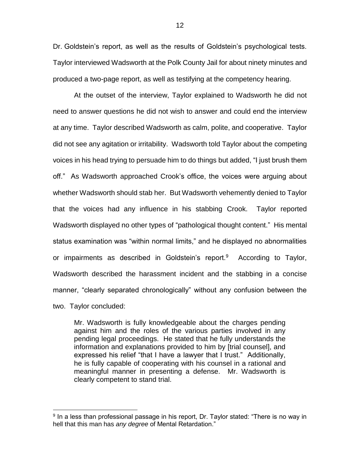Dr. Goldstein's report, as well as the results of Goldstein's psychological tests. Taylor interviewed Wadsworth at the Polk County Jail for about ninety minutes and produced a two-page report, as well as testifying at the competency hearing.

At the outset of the interview, Taylor explained to Wadsworth he did not need to answer questions he did not wish to answer and could end the interview at any time. Taylor described Wadsworth as calm, polite, and cooperative. Taylor did not see any agitation or irritability. Wadsworth told Taylor about the competing voices in his head trying to persuade him to do things but added, "I just brush them off." As Wadsworth approached Crook's office, the voices were arguing about whether Wadsworth should stab her. But Wadsworth vehemently denied to Taylor that the voices had any influence in his stabbing Crook. Taylor reported Wadsworth displayed no other types of "pathological thought content." His mental status examination was "within normal limits," and he displayed no abnormalities or impairments as described in Goldstein's report.<sup>9</sup> According to Taylor, Wadsworth described the harassment incident and the stabbing in a concise manner, "clearly separated chronologically" without any confusion between the two. Taylor concluded:

Mr. Wadsworth is fully knowledgeable about the charges pending against him and the roles of the various parties involved in any pending legal proceedings. He stated that he fully understands the information and explanations provided to him by [trial counsel], and expressed his relief "that I have a lawyer that I trust." Additionally, he is fully capable of cooperating with his counsel in a rational and meaningful manner in presenting a defense. Mr. Wadsworth is clearly competent to stand trial.

<sup>&</sup>lt;sup>9</sup> In a less than professional passage in his report, Dr. Taylor stated: "There is no way in hell that this man has *any degree* of Mental Retardation."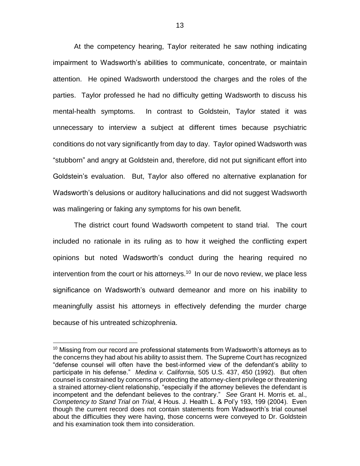At the competency hearing, Taylor reiterated he saw nothing indicating impairment to Wadsworth's abilities to communicate, concentrate, or maintain attention. He opined Wadsworth understood the charges and the roles of the parties. Taylor professed he had no difficulty getting Wadsworth to discuss his mental-health symptoms. In contrast to Goldstein, Taylor stated it was unnecessary to interview a subject at different times because psychiatric conditions do not vary significantly from day to day. Taylor opined Wadsworth was "stubborn" and angry at Goldstein and, therefore, did not put significant effort into Goldstein's evaluation. But, Taylor also offered no alternative explanation for Wadsworth's delusions or auditory hallucinations and did not suggest Wadsworth was malingering or faking any symptoms for his own benefit.

The district court found Wadsworth competent to stand trial. The court included no rationale in its ruling as to how it weighed the conflicting expert opinions but noted Wadsworth's conduct during the hearing required no intervention from the court or his attorneys.<sup>10</sup> In our de novo review, we place less significance on Wadsworth's outward demeanor and more on his inability to meaningfully assist his attorneys in effectively defending the murder charge because of his untreated schizophrenia.

 $10$  Missing from our record are professional statements from Wadsworth's attorneys as to the concerns they had about his ability to assist them. The Supreme Court has recognized "defense counsel will often have the best-informed view of the defendant's ability to participate in his defense." *Medina v. California*, 505 U.S. 437, 450 (1992). But often counsel is constrained by concerns of protecting the attorney-client privilege or threatening a strained attorney-client relationship, "especially if the attorney believes the defendant is incompetent and the defendant believes to the contrary." *See* Grant H. Morris et. al., *Competency to Stand Trial on Trial*, 4 Hous. J. Health L. & Pol'y 193, 199 (2004). Even though the current record does not contain statements from Wadsworth's trial counsel about the difficulties they were having, those concerns were conveyed to Dr. Goldstein and his examination took them into consideration.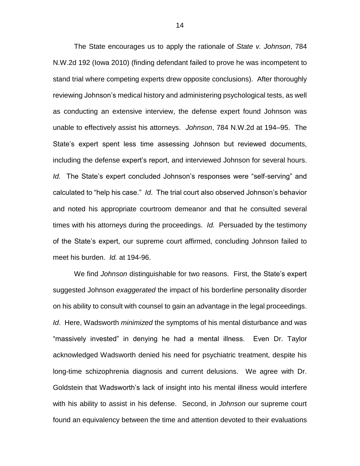The State encourages us to apply the rationale of *State v. Johnson*, 784 N.W.2d 192 (Iowa 2010) (finding defendant failed to prove he was incompetent to stand trial where competing experts drew opposite conclusions). After thoroughly reviewing Johnson's medical history and administering psychological tests, as well as conducting an extensive interview, the defense expert found Johnson was unable to effectively assist his attorneys. *Johnson*, 784 N.W.2d at 194–95. The State's expert spent less time assessing Johnson but reviewed documents, including the defense expert's report, and interviewed Johnson for several hours. *Id.* The State's expert concluded Johnson's responses were "self-serving" and calculated to "help his case." *Id*. The trial court also observed Johnson's behavior and noted his appropriate courtroom demeanor and that he consulted several times with his attorneys during the proceedings. *Id.* Persuaded by the testimony of the State's expert, our supreme court affirmed, concluding Johnson failed to meet his burden. *Id.* at 194-96.

We find *Johnson* distinguishable for two reasons. First, the State's expert suggested Johnson *exaggerated* the impact of his borderline personality disorder on his ability to consult with counsel to gain an advantage in the legal proceedings. *Id*. Here, Wadsworth *minimized* the symptoms of his mental disturbance and was "massively invested" in denying he had a mental illness. Even Dr. Taylor acknowledged Wadsworth denied his need for psychiatric treatment, despite his long-time schizophrenia diagnosis and current delusions. We agree with Dr. Goldstein that Wadsworth's lack of insight into his mental illness would interfere with his ability to assist in his defense. Second, in *Johnson* our supreme court found an equivalency between the time and attention devoted to their evaluations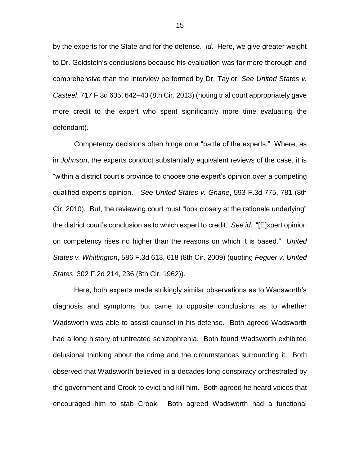by the experts for the State and for the defense. *Id*. Here, we give greater weight to Dr. Goldstein's conclusions because his evaluation was far more thorough and comprehensive than the interview performed by Dr. Taylor. *See United States v. Casteel*, 717 F.3d 635, 642–43 (8th Cir. 2013) (noting trial court appropriately gave more credit to the expert who spent significantly more time evaluating the defendant).

Competency decisions often hinge on a "battle of the experts." Where, as in *Johnson*, the experts conduct substantially equivalent reviews of the case, it is "within a district court's province to choose one expert's opinion over a competing qualified expert's opinion." *See United States v. Ghane*, 593 F.3d 775, 781 (8th Cir. 2010). But, the reviewing court must "look closely at the rationale underlying" the district court's conclusion as to which expert to credit. *See id.* "[E]xpert opinion on competency rises no higher than the reasons on which it is based." *United States v. Whittington*, 586 F.3d 613, 618 (8th Cir. 2009) (quoting *Feguer v. United States*, 302 F.2d 214, 236 (8th Cir. 1962)).

Here, both experts made strikingly similar observations as to Wadsworth's diagnosis and symptoms but came to opposite conclusions as to whether Wadsworth was able to assist counsel in his defense. Both agreed Wadsworth had a long history of untreated schizophrenia. Both found Wadsworth exhibited delusional thinking about the crime and the circumstances surrounding it. Both observed that Wadsworth believed in a decades-long conspiracy orchestrated by the government and Crook to evict and kill him. Both agreed he heard voices that encouraged him to stab Crook. Both agreed Wadsworth had a functional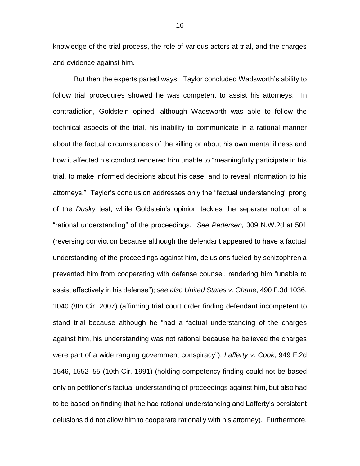knowledge of the trial process, the role of various actors at trial, and the charges and evidence against him.

But then the experts parted ways. Taylor concluded Wadsworth's ability to follow trial procedures showed he was competent to assist his attorneys. In contradiction, Goldstein opined, although Wadsworth was able to follow the technical aspects of the trial, his inability to communicate in a rational manner about the factual circumstances of the killing or about his own mental illness and how it affected his conduct rendered him unable to "meaningfully participate in his trial, to make informed decisions about his case, and to reveal information to his attorneys." Taylor's conclusion addresses only the "factual understanding" prong of the *Dusky* test, while Goldstein's opinion tackles the separate notion of a "rational understanding" of the proceedings. *See Pedersen,* 309 N.W.2d at 501 (reversing conviction because although the defendant appeared to have a factual understanding of the proceedings against him, delusions fueled by schizophrenia prevented him from cooperating with defense counsel, rendering him "unable to assist effectively in his defense"); *see also United States v. Ghane*, 490 F.3d 1036, 1040 (8th Cir. 2007) (affirming trial court order finding defendant incompetent to stand trial because although he "had a factual understanding of the charges against him, his understanding was not rational because he believed the charges were part of a wide ranging government conspiracy"); *Lafferty v. Cook*, 949 F.2d 1546, 1552–55 (10th Cir. 1991) (holding competency finding could not be based only on petitioner's factual understanding of proceedings against him, but also had to be based on finding that he had rational understanding and Lafferty's persistent delusions did not allow him to cooperate rationally with his attorney). Furthermore,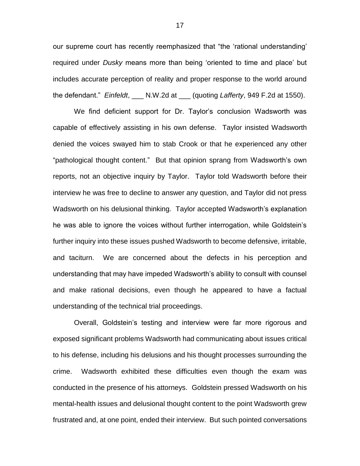our supreme court has recently reemphasized that "the 'rational understanding' required under *Dusky* means more than being 'oriented to time and place' but includes accurate perception of reality and proper response to the world around the defendant." *Einfeldt*, \_\_\_ N.W.2d at \_\_\_ (quoting *Lafferty*, 949 F.2d at 1550).

We find deficient support for Dr. Taylor's conclusion Wadsworth was capable of effectively assisting in his own defense. Taylor insisted Wadsworth denied the voices swayed him to stab Crook or that he experienced any other "pathological thought content." But that opinion sprang from Wadsworth's own reports, not an objective inquiry by Taylor. Taylor told Wadsworth before their interview he was free to decline to answer any question, and Taylor did not press Wadsworth on his delusional thinking. Taylor accepted Wadsworth's explanation he was able to ignore the voices without further interrogation, while Goldstein's further inquiry into these issues pushed Wadsworth to become defensive, irritable, and taciturn. We are concerned about the defects in his perception and understanding that may have impeded Wadsworth's ability to consult with counsel and make rational decisions, even though he appeared to have a factual understanding of the technical trial proceedings.

Overall, Goldstein's testing and interview were far more rigorous and exposed significant problems Wadsworth had communicating about issues critical to his defense, including his delusions and his thought processes surrounding the crime. Wadsworth exhibited these difficulties even though the exam was conducted in the presence of his attorneys. Goldstein pressed Wadsworth on his mental-health issues and delusional thought content to the point Wadsworth grew frustrated and, at one point, ended their interview. But such pointed conversations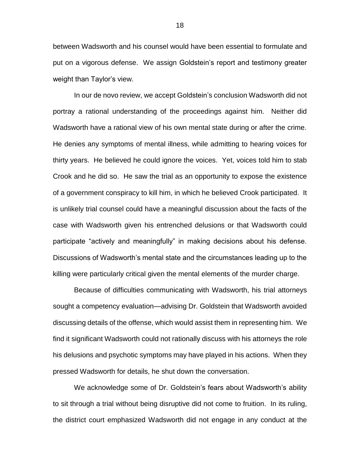between Wadsworth and his counsel would have been essential to formulate and put on a vigorous defense. We assign Goldstein's report and testimony greater weight than Taylor's view.

In our de novo review, we accept Goldstein's conclusion Wadsworth did not portray a rational understanding of the proceedings against him. Neither did Wadsworth have a rational view of his own mental state during or after the crime. He denies any symptoms of mental illness, while admitting to hearing voices for thirty years. He believed he could ignore the voices. Yet, voices told him to stab Crook and he did so. He saw the trial as an opportunity to expose the existence of a government conspiracy to kill him, in which he believed Crook participated. It is unlikely trial counsel could have a meaningful discussion about the facts of the case with Wadsworth given his entrenched delusions or that Wadsworth could participate "actively and meaningfully" in making decisions about his defense. Discussions of Wadsworth's mental state and the circumstances leading up to the killing were particularly critical given the mental elements of the murder charge.

Because of difficulties communicating with Wadsworth, his trial attorneys sought a competency evaluation—advising Dr. Goldstein that Wadsworth avoided discussing details of the offense, which would assist them in representing him. We find it significant Wadsworth could not rationally discuss with his attorneys the role his delusions and psychotic symptoms may have played in his actions. When they pressed Wadsworth for details, he shut down the conversation.

We acknowledge some of Dr. Goldstein's fears about Wadsworth's ability to sit through a trial without being disruptive did not come to fruition. In its ruling, the district court emphasized Wadsworth did not engage in any conduct at the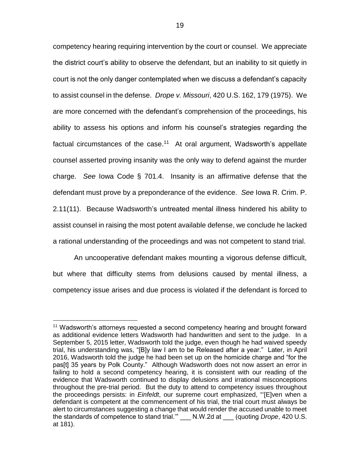competency hearing requiring intervention by the court or counsel. We appreciate the district court's ability to observe the defendant, but an inability to sit quietly in court is not the only danger contemplated when we discuss a defendant's capacity to assist counsel in the defense. *Drope v. Missouri*, 420 U.S. 162, 179 (1975). We are more concerned with the defendant's comprehension of the proceedings, his ability to assess his options and inform his counsel's strategies regarding the factual circumstances of the case.<sup>11</sup> At oral argument, Wadsworth's appellate counsel asserted proving insanity was the only way to defend against the murder charge. *See* Iowa Code § 701.4. Insanity is an affirmative defense that the defendant must prove by a preponderance of the evidence. *See* Iowa R. Crim. P. 2.11(11). Because Wadsworth's untreated mental illness hindered his ability to assist counsel in raising the most potent available defense, we conclude he lacked a rational understanding of the proceedings and was not competent to stand trial.

An uncooperative defendant makes mounting a vigorous defense difficult, but where that difficulty stems from delusions caused by mental illness, a competency issue arises and due process is violated if the defendant is forced to

 $\overline{a}$ <sup>11</sup> Wadsworth's attorneys requested a second competency hearing and brought forward as additional evidence letters Wadsworth had handwritten and sent to the judge. In a September 5, 2015 letter, Wadsworth told the judge, even though he had waived speedy trial, his understanding was, "[B]y law I am to be Released after a year." Later, in April 2016, Wadsworth told the judge he had been set up on the homicide charge and "for the pas[t] 35 years by Polk County." Although Wadsworth does not now assert an error in failing to hold a second competency hearing, it is consistent with our reading of the evidence that Wadsworth continued to display delusions and irrational misconceptions throughout the pre-trial period. But the duty to attend to competency issues throughout the proceedings persists: in *Einfeldt*, our supreme court emphasized, "'[E]ven when a defendant is competent at the commencement of his trial, the trial court must always be alert to circumstances suggesting a change that would render the accused unable to meet the standards of competence to stand trial.'" \_\_\_ N.W.2d at \_\_\_ (quoting *Drope*, 420 U.S. at 181).